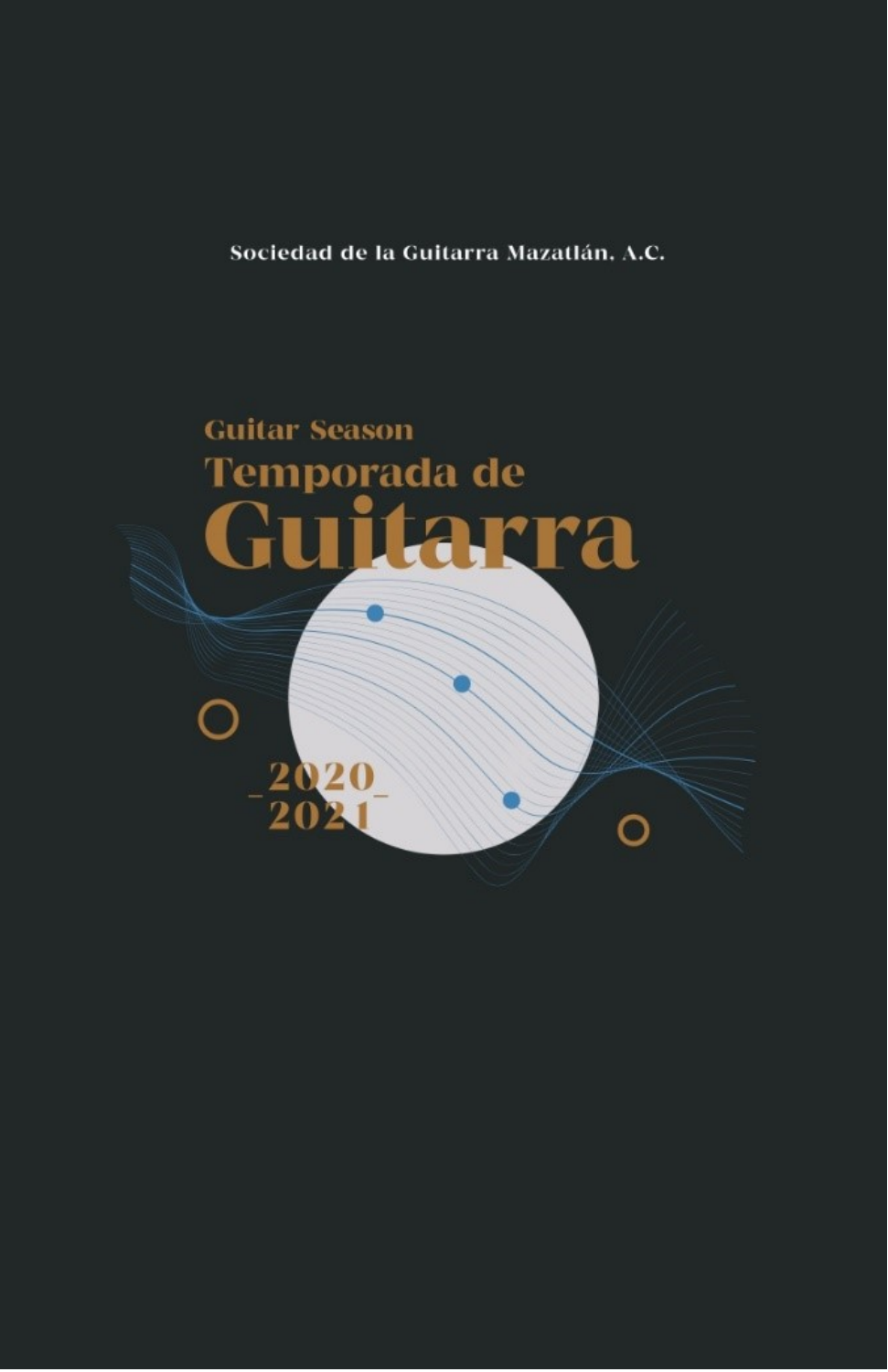Sociedad de la Guitarra Mazatlán, A.C.

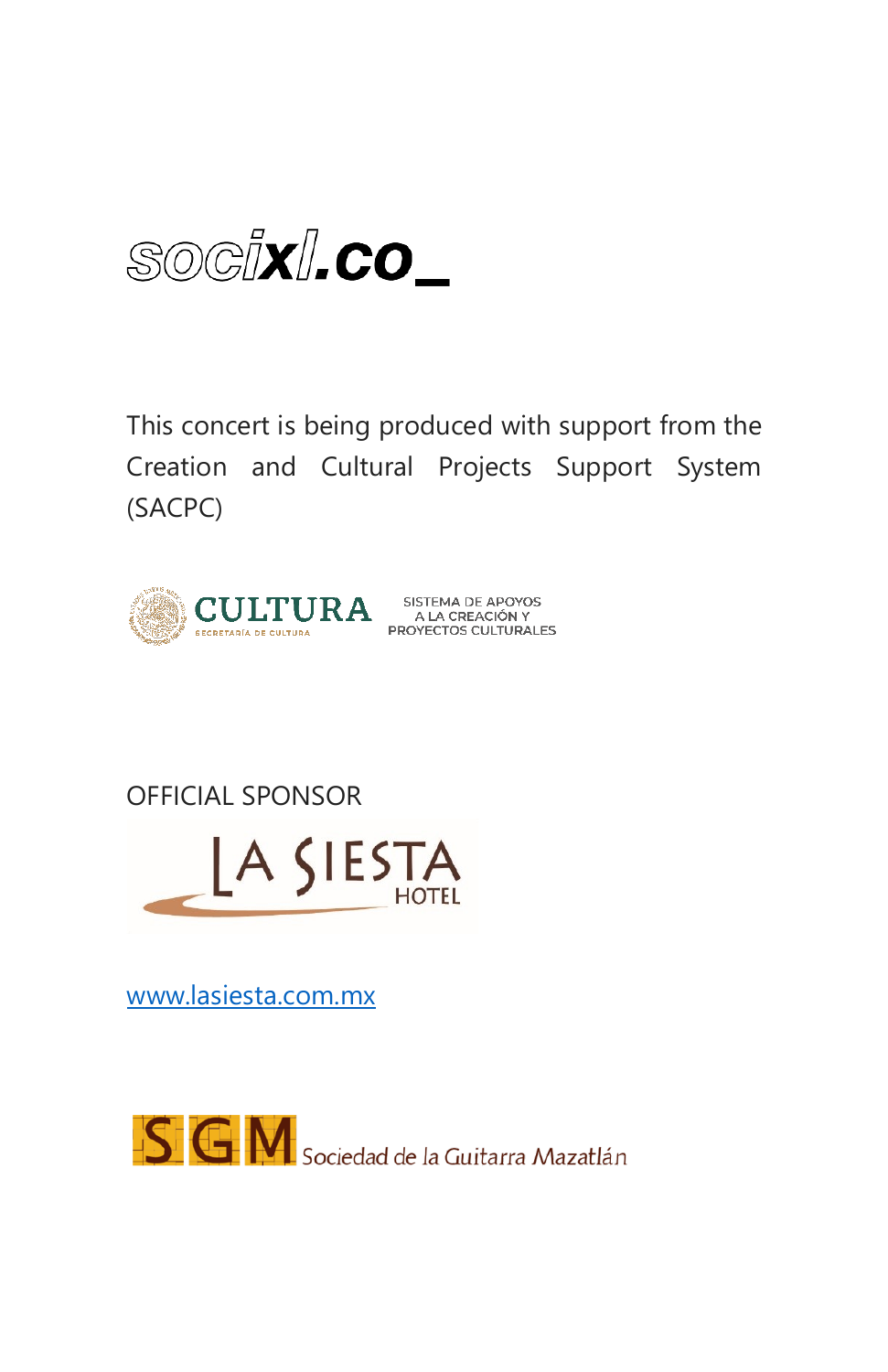SOGIXI.CO

This concert is being produced with support from the Creation and Cultural Projects Support System (SACPC)



OFFICIAL SPONSOR



[www.lasiesta.com.mx](http://www.lasiesta.com.mx/)

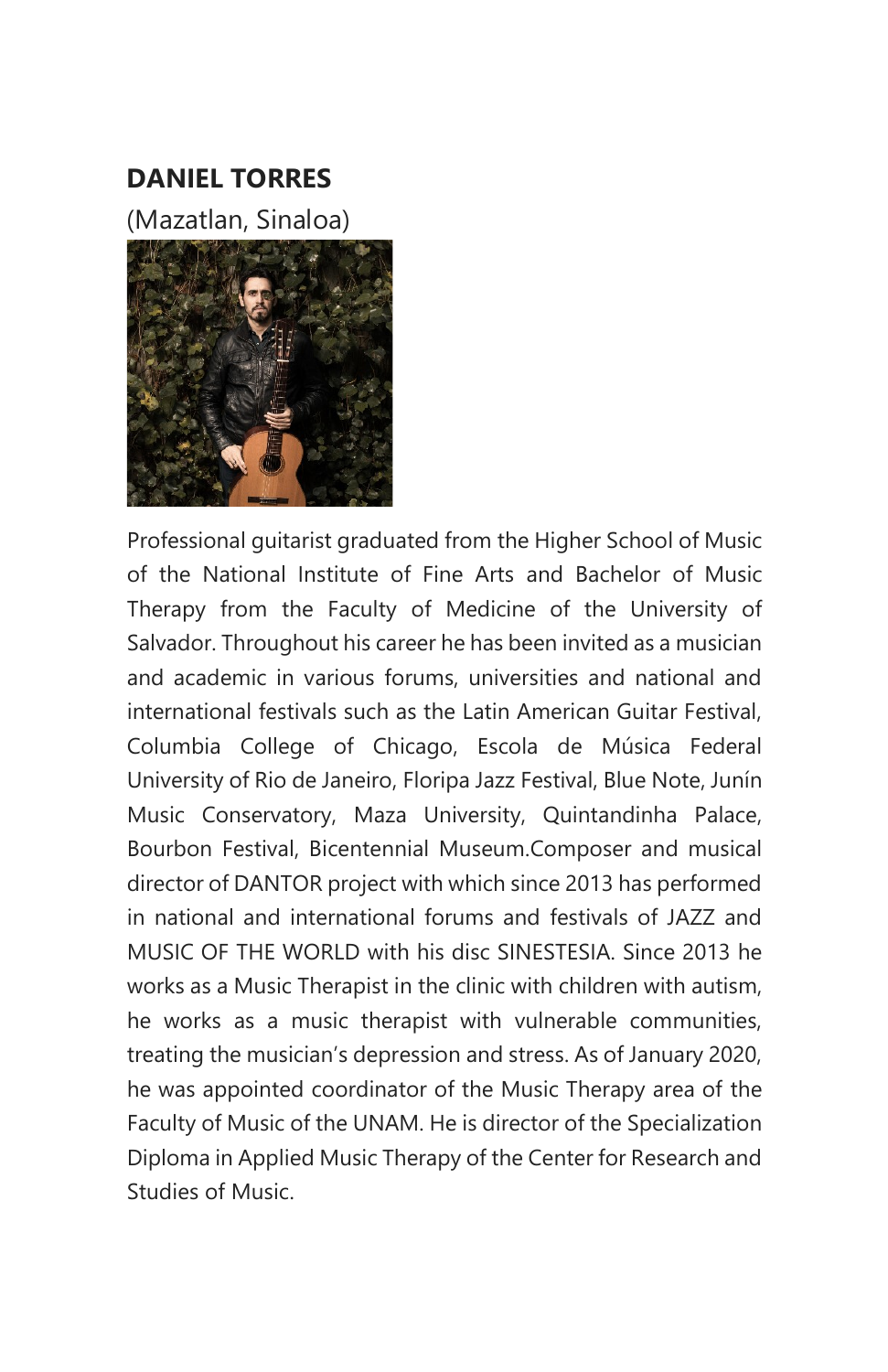#### **DANIEL TORRES**

(Mazatlan, Sinaloa)



Professional guitarist graduated from the Higher School of Music of the National Institute of Fine Arts and Bachelor of Music Therapy from the Faculty of Medicine of the University of Salvador. Throughout his career he has been invited as a musician and academic in various forums, universities and national and international festivals such as the Latin American Guitar Festival, Columbia College of Chicago, Escola de Música Federal University of Rio de Janeiro, Floripa Jazz Festival, Blue Note, Junín Music Conservatory, Maza University, Quintandinha Palace, Bourbon Festival, Bicentennial Museum.Composer and musical director of DANTOR project with which since 2013 has performed in national and international forums and festivals of JAZZ and MUSIC OF THE WORLD with his disc SINESTESIA. Since 2013 he works as a Music Therapist in the clinic with children with autism, he works as a music therapist with vulnerable communities, treating the musician's depression and stress. As of January 2020, he was appointed coordinator of the Music Therapy area of the Faculty of Music of the UNAM. He is director of the Specialization Diploma in Applied Music Therapy of the Center for Research and Studies of Music.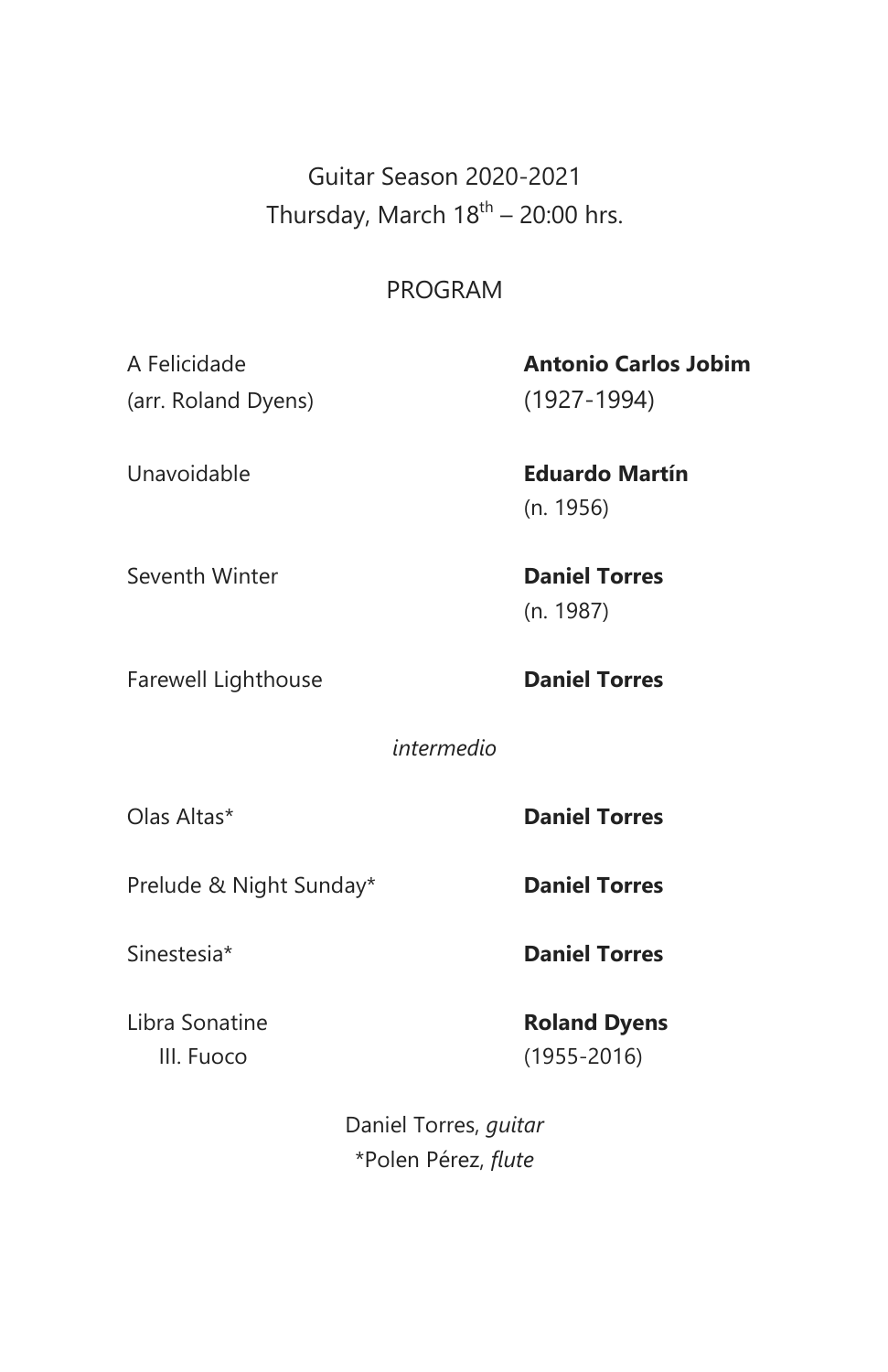Guitar Season 2020-2021 Thursday, March  $18^{\text{th}}$  – 20:00 hrs.

#### PROGRAM

(arr. Roland Dyens) (1927-1994)

# A Felicidade **Antonio Carlos Jobim**

Unavoidable **Eduardo Martín** (n. 1956)

Seventh Winter **Daniel Torres**

Farewell Lighthouse **Daniel Torres** 

(n. 1987)

*intermedio*

Olas Altas\* **Daniel Torres**

Prelude & Night Sunday\* **Daniel Torres** 

Sinestesia\* **Daniel Torres**

Libra Sonatine **Roland Dyens** III. Fuoco (1955-2016)

> Daniel Torres, *guitar* \*Polen Pérez, *flute*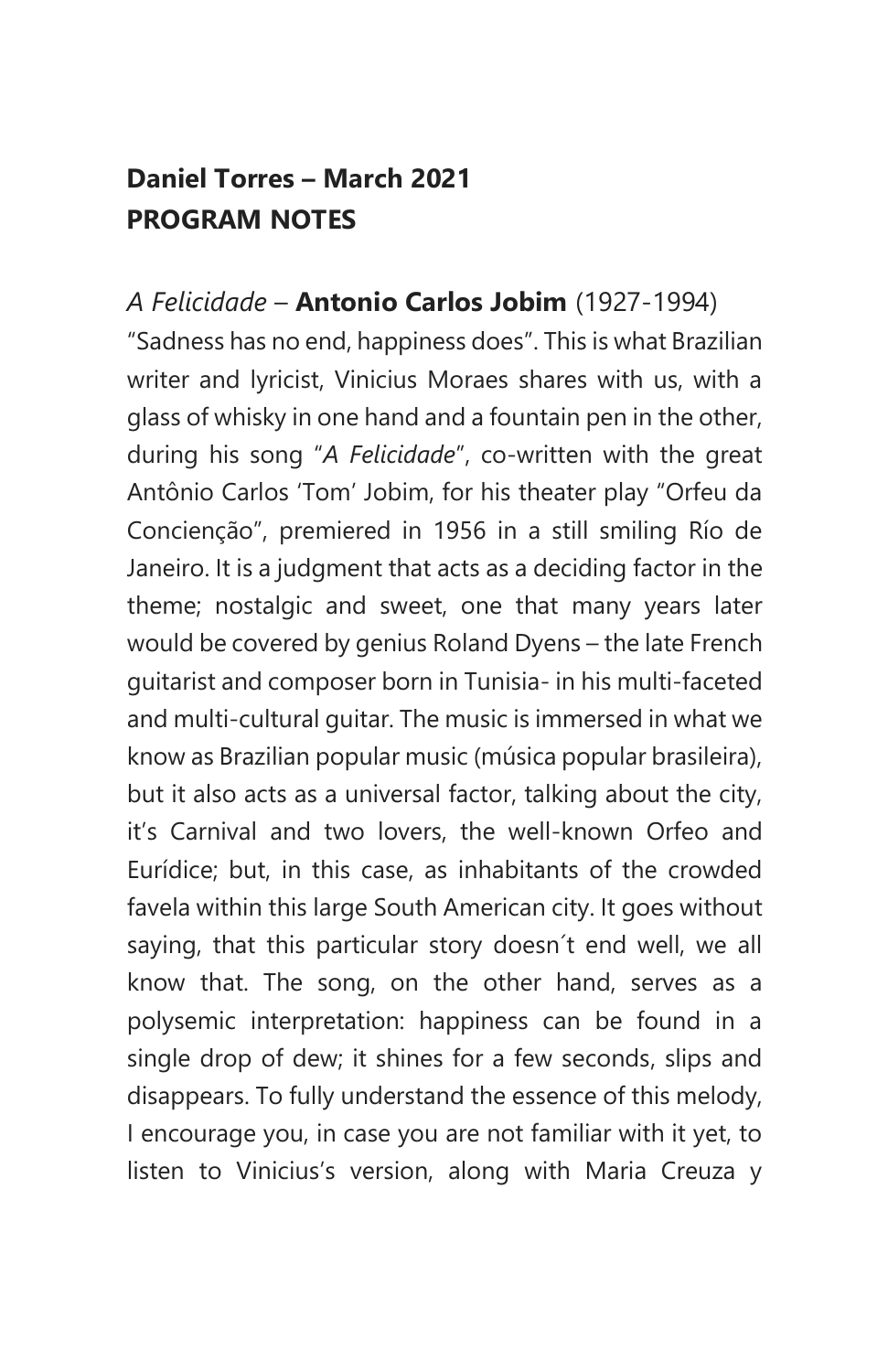#### **Daniel Torres – March 2021 PROGRAM NOTES**

#### *A Felicidade* – **Antonio Carlos Jobim** (1927-1994)

"Sadness has no end, happiness does". This is what Brazilian writer and lyricist, Vinicius Moraes shares with us, with a glass of whisky in one hand and a fountain pen in the other, during his song "*A Felicidade*", co-written with the great Antônio Carlos 'Tom' Jobim, for his theater play "Orfeu da Concienção", premiered in 1956 in a still smiling Río de Janeiro. It is a judgment that acts as a deciding factor in the theme; nostalgic and sweet, one that many years later would be covered by genius Roland Dyens – the late French guitarist and composer born in Tunisia- in his multi-faceted and multi-cultural guitar. The music is immersed in what we know as Brazilian popular music (música popular brasileira), but it also acts as a universal factor, talking about the city, it's Carnival and two lovers, the well-known Orfeo and Eurídice; but, in this case, as inhabitants of the crowded favela within this large South American city. It goes without saying, that this particular story doesn´t end well, we all know that. The song, on the other hand, serves as a polysemic interpretation: happiness can be found in a single drop of dew; it shines for a few seconds, slips and disappears. To fully understand the essence of this melody, I encourage you, in case you are not familiar with it yet, to listen to Vinicius's version, along with Maria Creuza y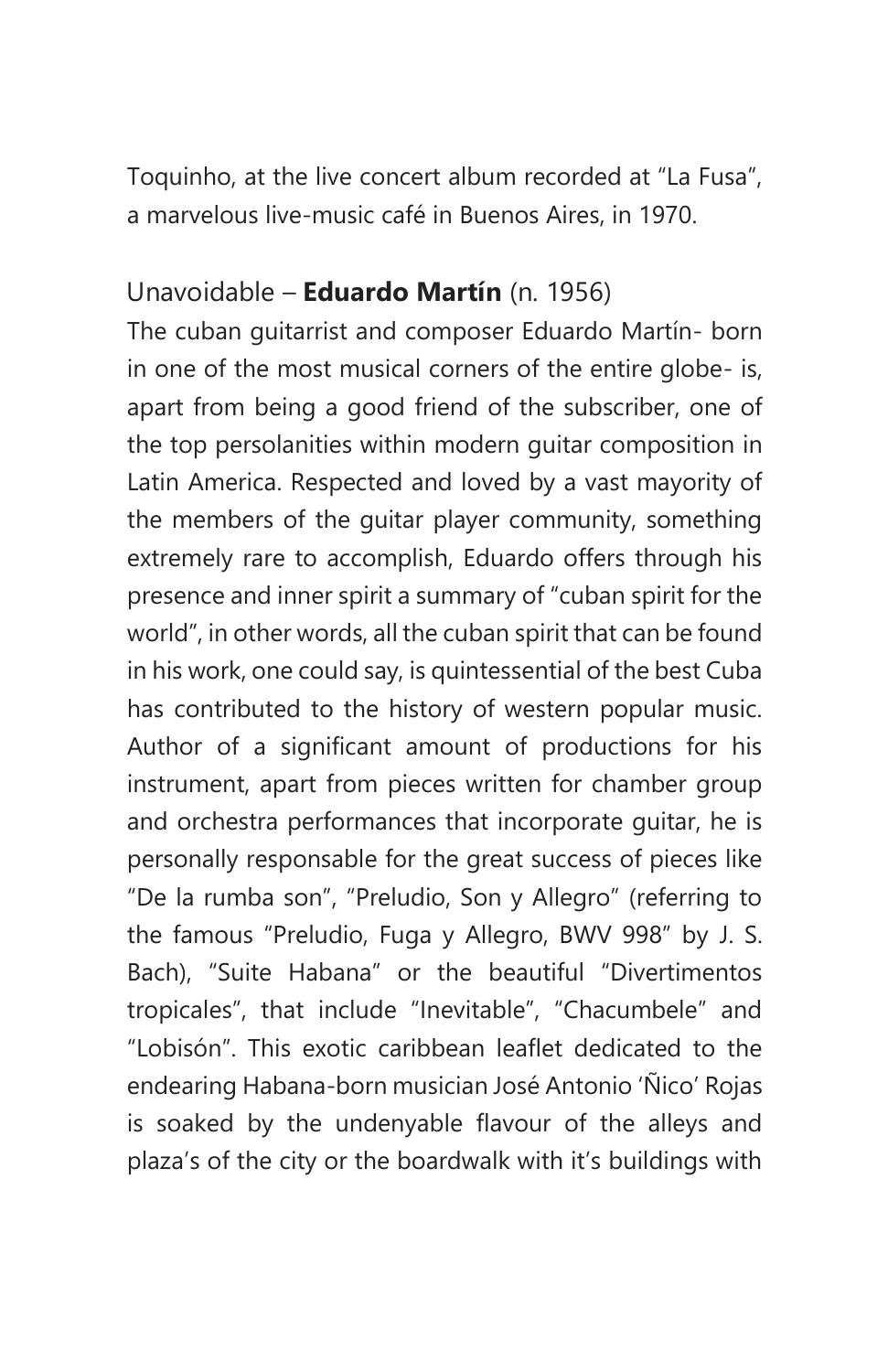Toquinho, at the live concert album recorded at "La Fusa", a marvelous live-music café in Buenos Aires, in 1970.

#### Unavoidable – **Eduardo Martín** (n. 1956)

The cuban guitarrist and composer Eduardo Martín- born in one of the most musical corners of the entire globe- is, apart from being a good friend of the subscriber, one of the top persolanities within modern guitar composition in Latin America. Respected and loved by a vast mayority of the members of the guitar player community, something extremely rare to accomplish, Eduardo offers through his presence and inner spirit a summary of "cuban spirit for the world", in other words, all the cuban spirit that can be found in his work, one could say, is quintessential of the best Cuba has contributed to the history of western popular music. Author of a significant amount of productions for his instrument, apart from pieces written for chamber group and orchestra performances that incorporate guitar, he is personally responsable for the great success of pieces like "De la rumba son", "Preludio, Son y Allegro" (referring to the famous "Preludio, Fuga y Allegro, BWV 998" by J. S. Bach), "Suite Habana" or the beautiful "Divertimentos tropicales", that include "Inevitable", "Chacumbele" and "Lobisón". This exotic caribbean leaflet dedicated to the endearing Habana-born musician José Antonio 'Ñico' Rojas is soaked by the undenyable flavour of the alleys and plaza's of the city or the boardwalk with it's buildings with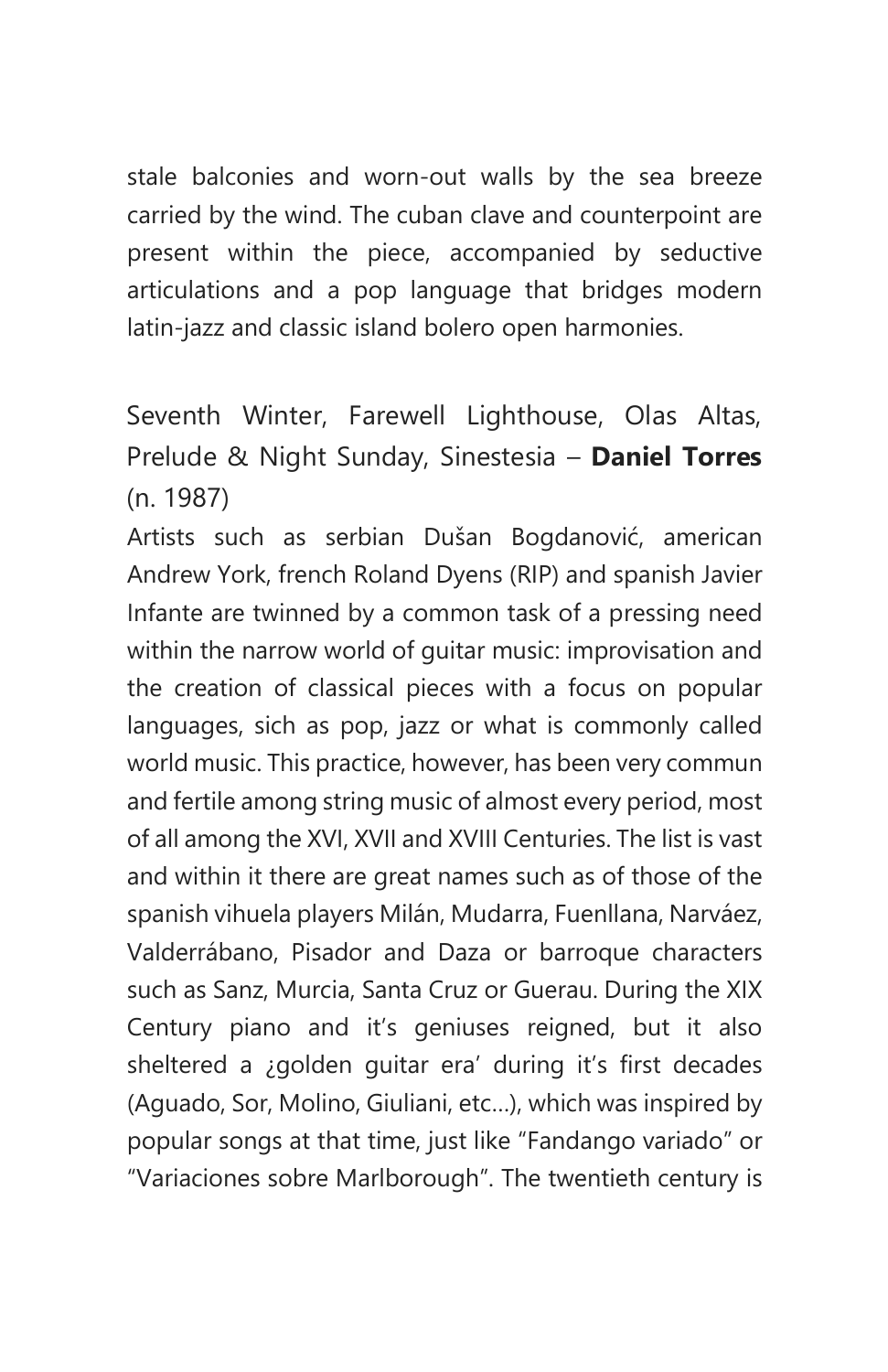stale balconies and worn-out walls by the sea breeze carried by the wind. The cuban clave and counterpoint are present within the piece, accompanied by seductive articulations and a pop language that bridges modern latin-jazz and classic island bolero open harmonies.

Seventh Winter, Farewell Lighthouse, Olas Altas, Prelude & Night Sunday, Sinestesia – **Daniel Torres** (n. 1987)

Artists such as serbian Dušan Bogdanović, american Andrew York, french Roland Dyens (RIP) and spanish Javier Infante are twinned by a common task of a pressing need within the narrow world of guitar music: improvisation and the creation of classical pieces with a focus on popular languages, sich as pop, jazz or what is commonly called world music. This practice, however, has been very commun and fertile among string music of almost every period, most of all among the XVI, XVII and XVIII Centuries. The list is vast and within it there are great names such as of those of the spanish vihuela players Milán, Mudarra, Fuenllana, Narváez, Valderrábano, Pisador and Daza or barroque characters such as Sanz, Murcia, Santa Cruz or Guerau. During the XIX Century piano and it's geniuses reigned, but it also sheltered a ¿golden guitar era' during it's first decades (Aguado, Sor, Molino, Giuliani, etc…), which was inspired by popular songs at that time, just like "Fandango variado" or "Variaciones sobre Marlborough". The twentieth century is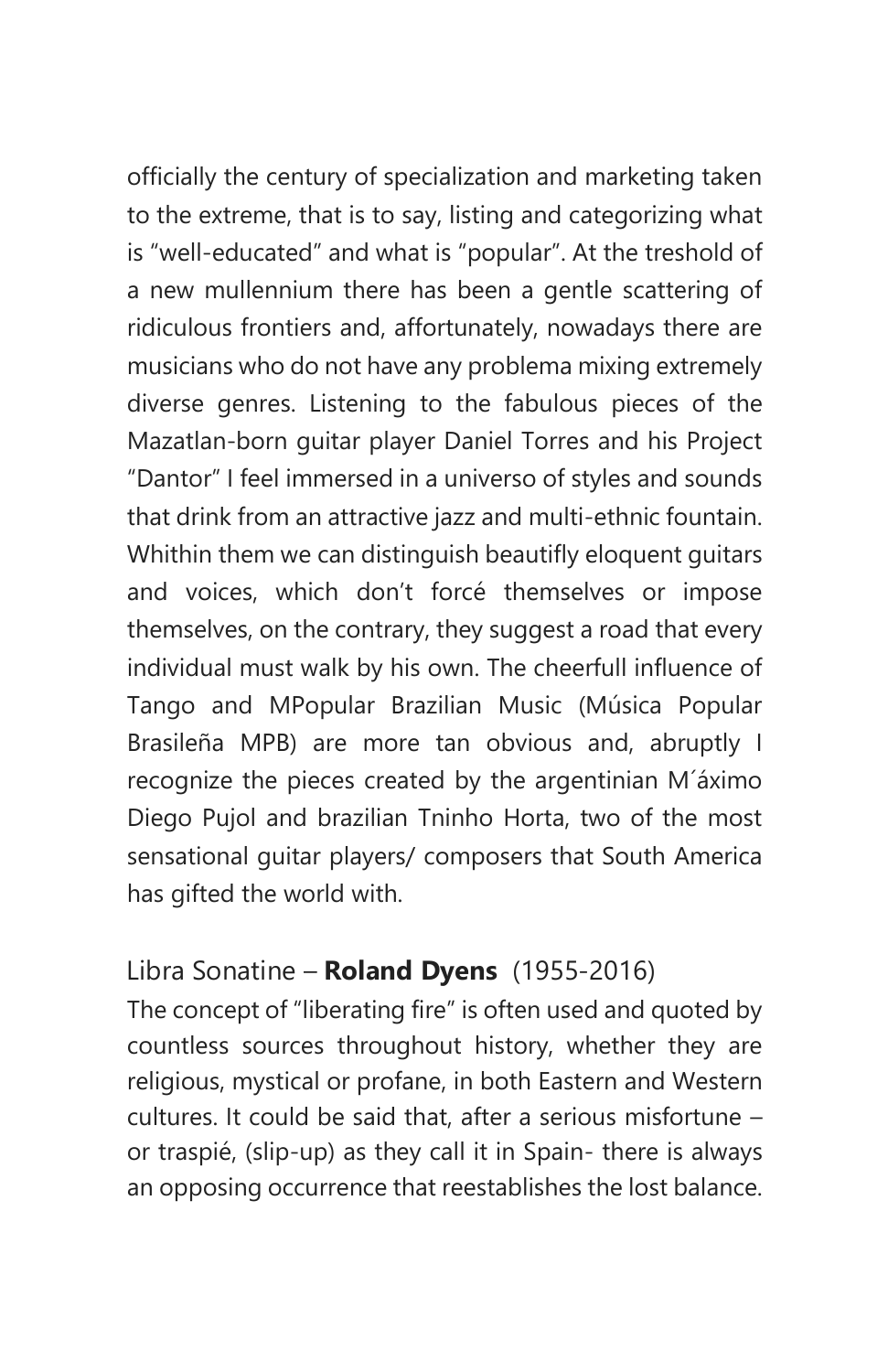officially the century of specialization and marketing taken to the extreme, that is to say, listing and categorizing what is "well-educated" and what is "popular". At the treshold of a new mullennium there has been a gentle scattering of ridiculous frontiers and, affortunately, nowadays there are musicians who do not have any problema mixing extremely diverse genres. Listening to the fabulous pieces of the Mazatlan-born guitar player Daniel Torres and his Project "Dantor" I feel immersed in a universo of styles and sounds that drink from an attractive jazz and multi-ethnic fountain. Whithin them we can distinguish beautifly eloquent guitars and voices, which don't forcé themselves or impose themselves, on the contrary, they suggest a road that every individual must walk by his own. The cheerfull influence of Tango and MPopular Brazilian Music (Música Popular Brasileña MPB) are more tan obvious and, abruptly I recognize the pieces created by the argentinian M´áximo Diego Pujol and brazilian Tninho Horta, two of the most sensational guitar players/ composers that South America has gifted the world with.

#### Libra Sonatine – **Roland Dyens** (1955-2016)

The concept of "liberating fire" is often used and quoted by countless sources throughout history, whether they are religious, mystical or profane, in both Eastern and Western cultures. It could be said that, after a serious misfortune – or traspié, (slip-up) as they call it in Spain- there is always an opposing occurrence that reestablishes the lost balance.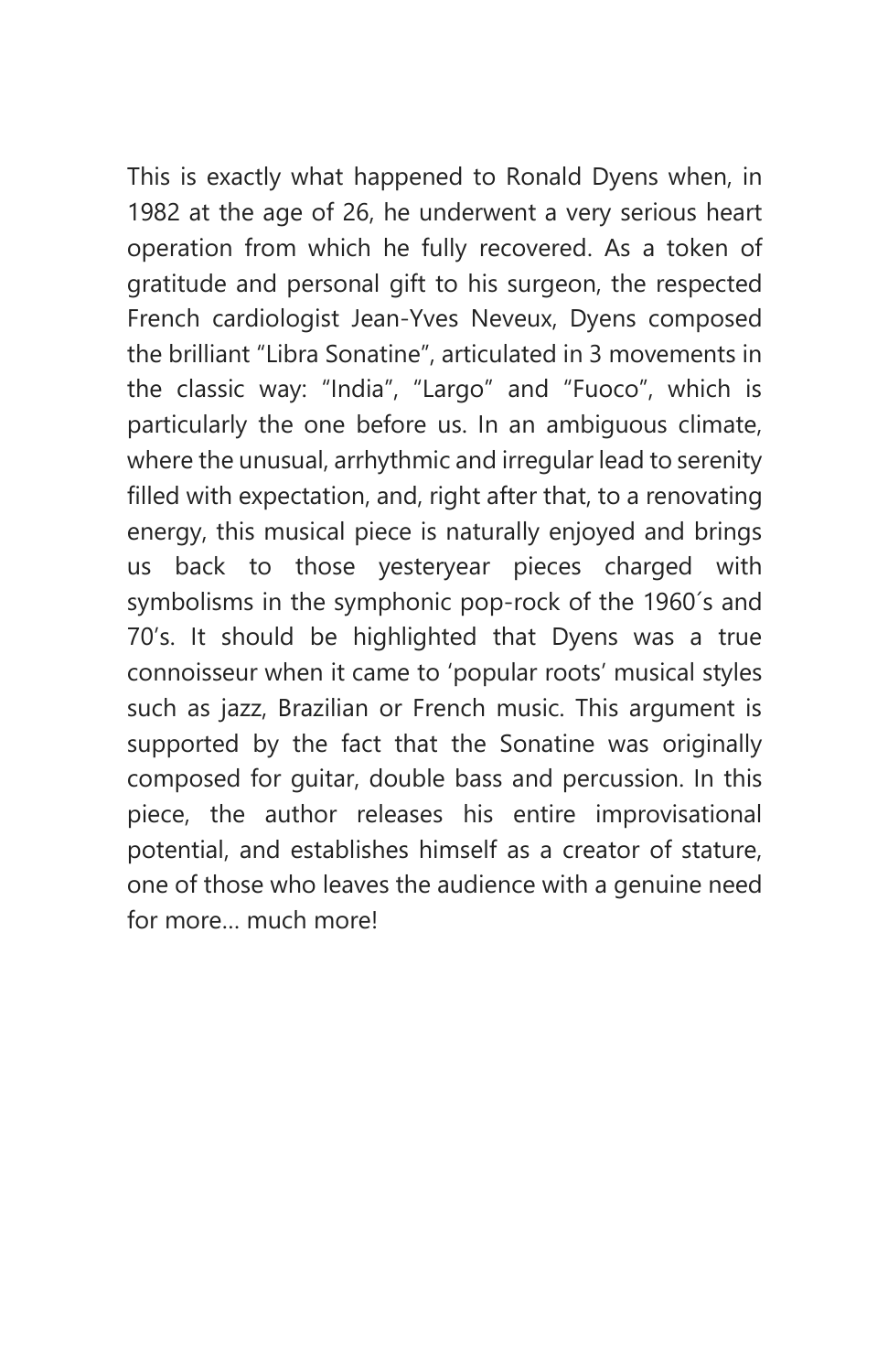This is exactly what happened to Ronald Dyens when, in 1982 at the age of 26, he underwent a very serious heart operation from which he fully recovered. As a token of gratitude and personal gift to his surgeon, the respected French cardiologist Jean-Yves Neveux, Dyens composed the brilliant "Libra Sonatine", articulated in 3 movements in the classic way: "India", "Largo" and "Fuoco", which is particularly the one before us. In an ambiguous climate, where the unusual, arrhythmic and irregular lead to serenity filled with expectation, and, right after that, to a renovating energy, this musical piece is naturally enjoyed and brings us back to those yesteryear pieces charged with symbolisms in the symphonic pop-rock of the 1960´s and 70's. It should be highlighted that Dyens was a true connoisseur when it came to 'popular roots' musical styles such as jazz, Brazilian or French music. This argument is supported by the fact that the Sonatine was originally composed for guitar, double bass and percussion. In this piece, the author releases his entire improvisational potential, and establishes himself as a creator of stature, one of those who leaves the audience with a genuine need for more much more!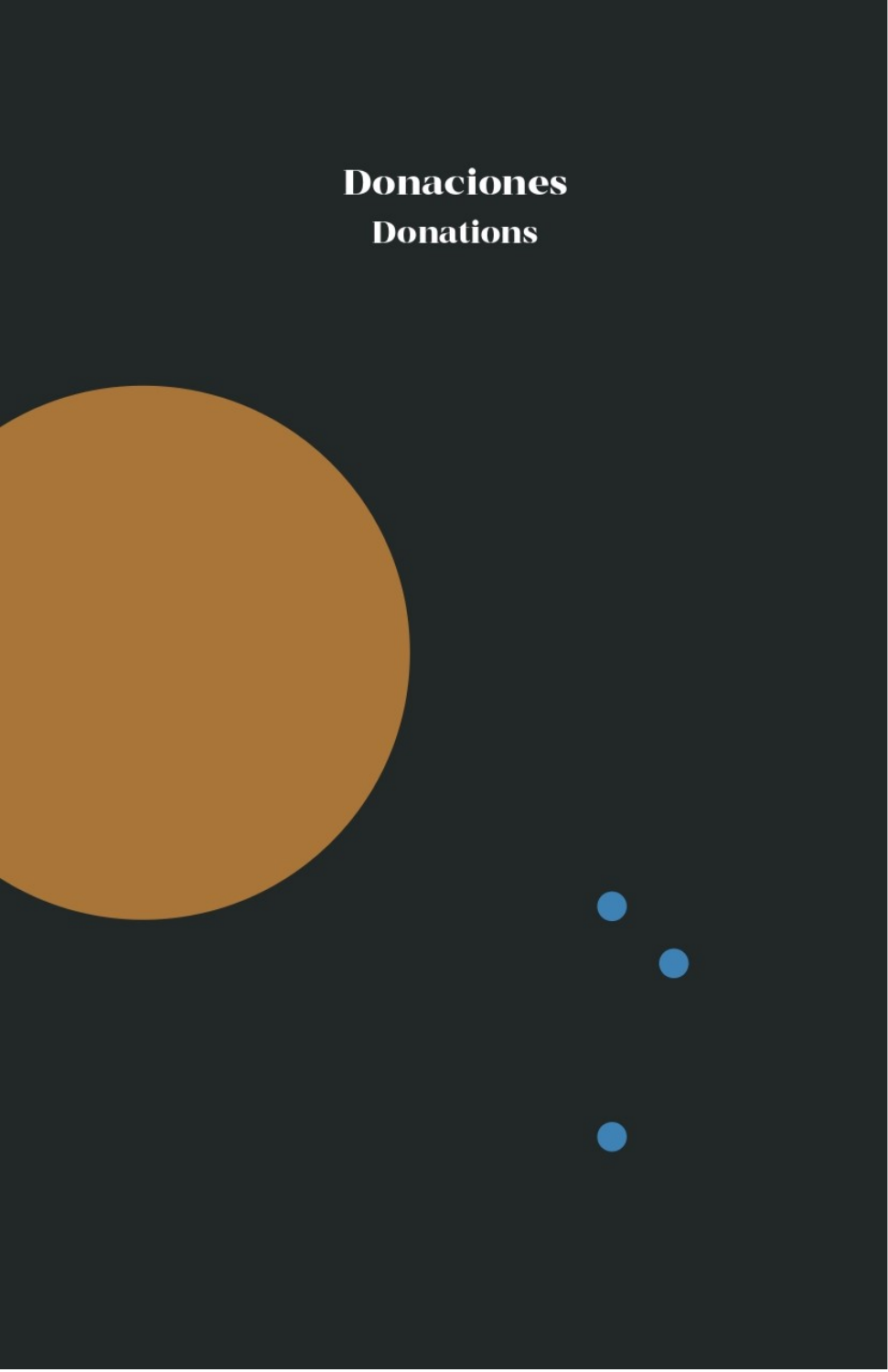**Donaciones Donations** 

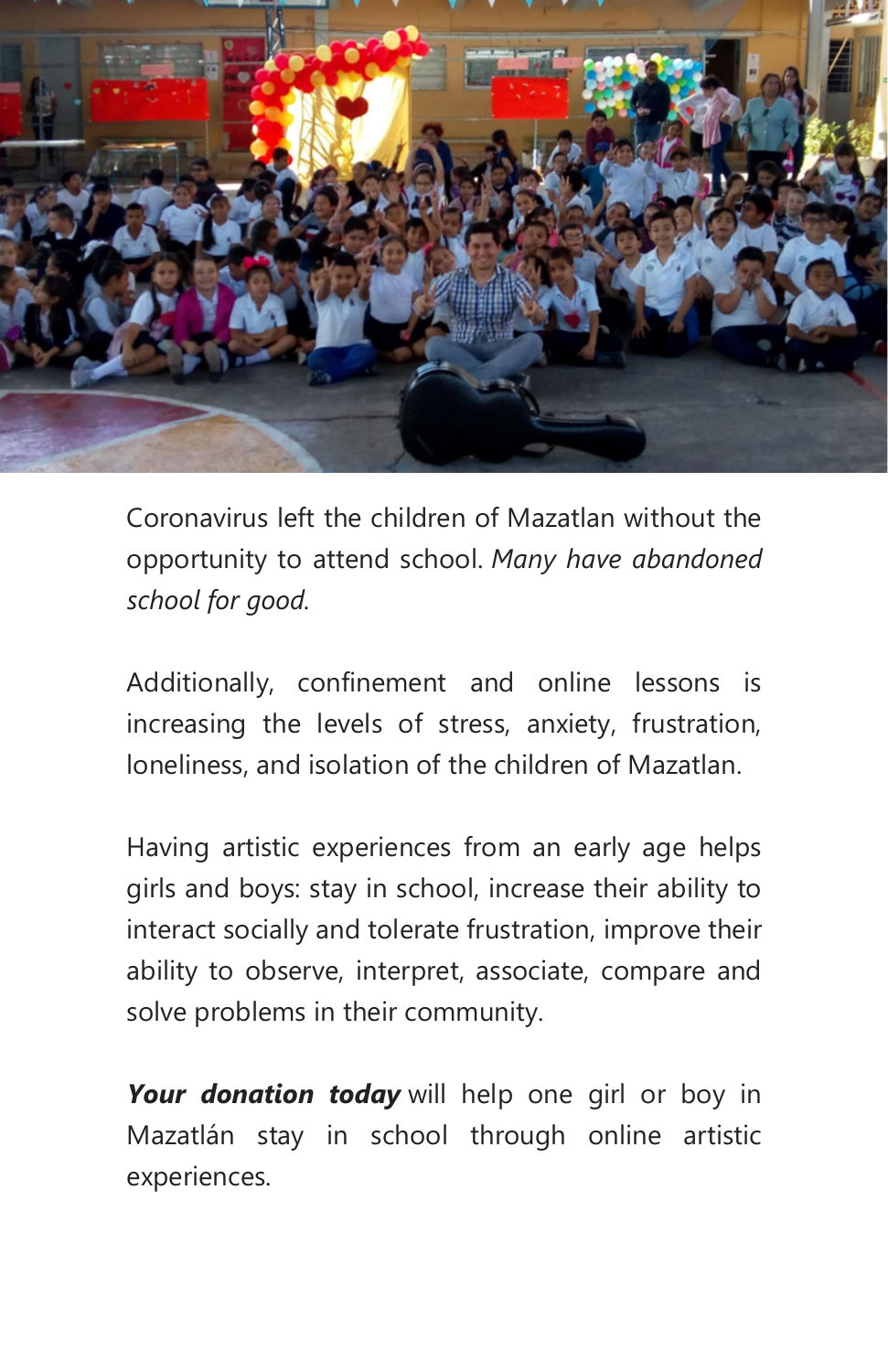

Coronavirus left the children of Mazatlan without the opportunity to attend school. *Many have abandoned school for good.*

Additionally, confinement and online lessons is increasing the levels of stress, anxiety, frustration, loneliness, and isolation of the children of Mazatlan.

Having artistic experiences from an early age helps girls and boys: stay in school, increase their ability to interact socially and tolerate frustration, improve their ability to observe, interpret, associate, compare and solve problems in their community.

Your donation today will help one girl or boy in Mazatlán stay in school through online artistic experiences.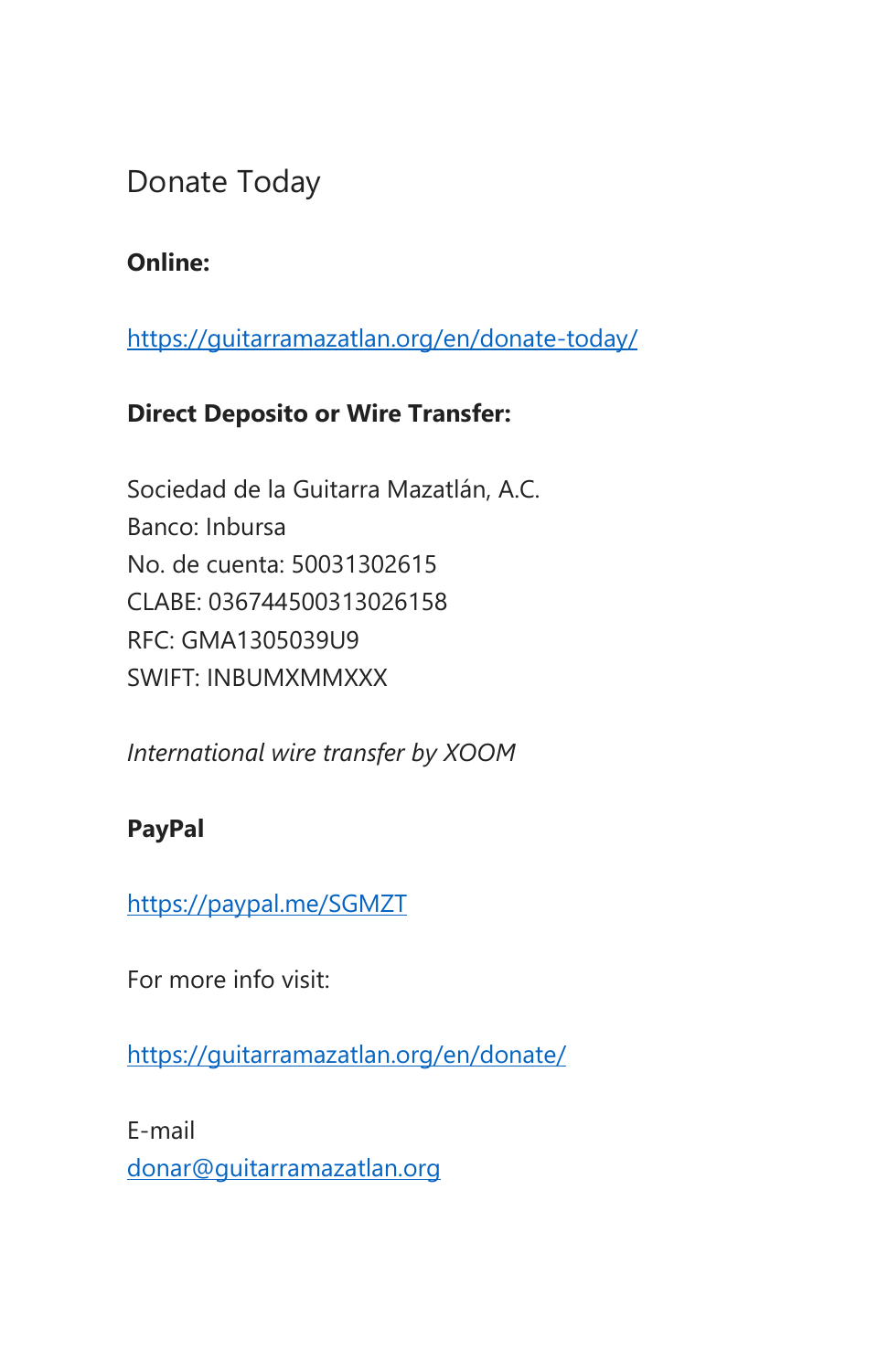# Donate Today

#### **Online:**

<https://guitarramazatlan.org/en/donate-today/>

#### **Direct Deposito or Wire Transfer:**

Sociedad de la Guitarra Mazatlán, A.C. Banco: Inbursa No. de cuenta: 50031302615 CLABE: 036744500313026158 RFC: GMA1305039U9 SWIFT: INBUMXMMXXX

*International wire transfer by XOOM* 

#### **PayPal**

<https://paypal.me/SGMZT>

For more info visit:

<https://guitarramazatlan.org/en/donate/>

E-mail [donar@guitarramazatlan.org](https://udomx-my.sharepoint.com/personal/jorge_birrueta_uadeo_mx/Documents/SGM/Temporada%20de%20Guitarra/2020-2021/Alberto%20Quintanilla/donar@guitarramazatlan.org)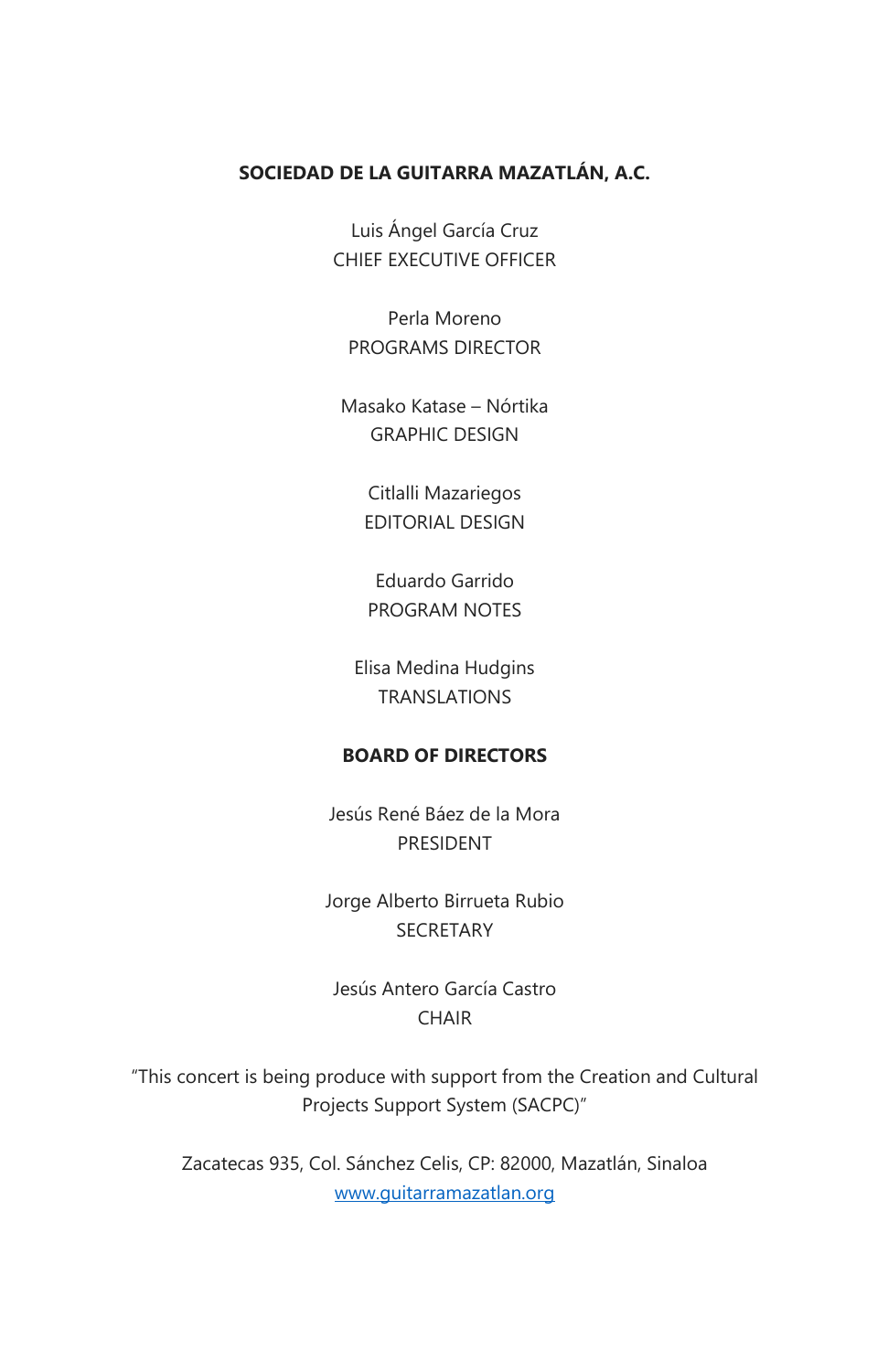#### **SOCIEDAD DE LA GUITARRA MAZATLÁN, A.C.**

Luis Ángel García Cruz CHIEF EXECUTIVE OFFICER

Perla Moreno PROGRAMS DIRECTOR

Masako Katase – Nórtika GRAPHIC DESIGN

> Citlalli Mazariegos EDITORIAL DESIGN

Eduardo Garrido PROGRAM NOTES

Elisa Medina Hudgins TRANSLATIONS

#### **BOARD OF DIRECTORS**

Jesús René Báez de la Mora PRESIDENT

Jorge Alberto Birrueta Rubio **SECRETARY** 

Jesús Antero García Castro **CHAIR** 

"This concert is being produce with support from the Creation and Cultural Projects Support System (SACPC)"

Zacatecas 935, Col. Sánchez Celis, CP: 82000, Mazatlán, Sinaloa [www.guitarramazatlan.org](http://www.guitarramazatlan.org/)